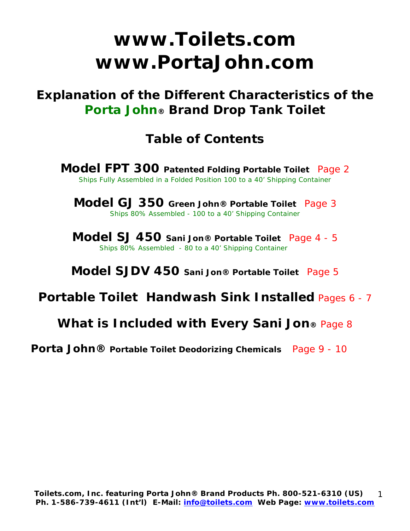# **www.Toilets.com www.PortaJohn.com**

**Explanation of the Different Characteristics of the Porta John® Brand Drop Tank Toilet** 

## **Table of Contents**

**Model FPT 300 Patented Folding Portable Toilet** Page 2 Ships Fully Assembled in a Folded Position 100 to a 40' Shipping Container

**Model GJ 350 Green John® Portable Toilet** Page 3 Ships 80% Assembled - 100 to a 40' Shipping Container

**Model SJ 450 Sani Jon® Portable Toilet** Page 4 - 5 Ships 80% Assembled - 80 to a 40' Shipping Container

**Model SJDV 450 Sani Jon® Portable Toilet** Page 5

## **Portable Toilet Handwash Sink Installed** Pages 6 - 7

### **What is Included with Every Sani Jon®** Page 8

 **Porta John® Portable Toilet Deodorizing Chemicals** Page 9 - 10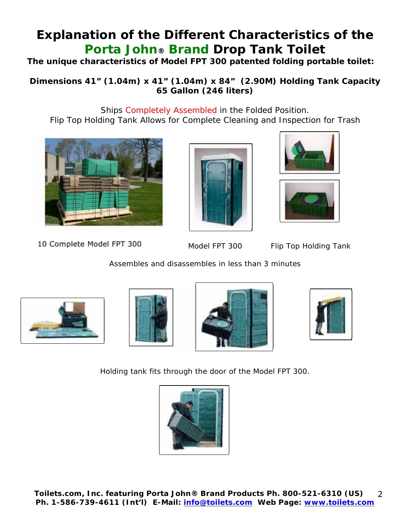## **Explanation of the Different Characteristics of the Porta John® Brand Drop Tank Toilet**

**The unique characteristics of Model FPT 300 patented folding portable toilet:** 

**Dimensions 41" (1.04m) x 41" (1.04m) x 84" (2.90M) Holding Tank Capacity 65 Gallon (246 liters)** 

Ships Completely Assembled in the Folded Position. Flip Top Holding Tank Allows for Complete Cleaning and Inspection for Trash



10 Complete Model FPT 300







Model FPT 300 Flip Top Holding Tank

Assembles and disassembles in less than 3 minutes









Holding tank fits through the door of the Model FPT 300.

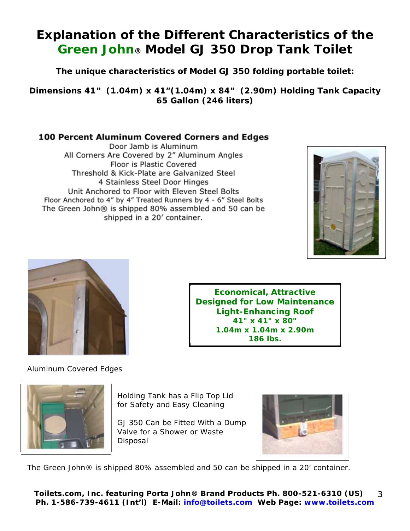## **Explanation of the Different Characteristics of the Green John® Model GJ 350 Drop Tank Toilet**

**The unique characteristics of Model GJ 350 folding portable toilet:** 

**Dimensions 41" (1.04m) x 41"(1.04m) x 84" (2.90m) Holding Tank Capacity 65 Gallon (246 liters)** 

### **100 Percent Aluminum Covered Corners and Edges**

Door Jamb is Aluminum All Corners Are Covered by 2" Aluminum Angles Floor is Plastic Covered Threshold & Kick-Plate are Galvanized Steel 4 Stainless Steel Door Hinges Unit Anchored to Floor with Eleven Steel Bolts Floor Anchored to 4" by 4" Treated Runners by 4 - 6" Steel Bolts The Green John® is shipped 80% assembled and 50 can be shipped in a 20' container.





### Aluminum Covered Edges



Holding Tank has a Flip Top Lid for Safety and Easy Cleaning

GJ 350 Can be Fitted With a Dump Valve for a Shower or Waste Disposal



**Economical, Attractive Designed for Low Maintenance Light-Enhancing Roof 41" x 41" x 80" 1.04m x 1.04m x 2.90m 186 lbs.**

The Green John® is shipped 80% assembled and 50 can be shipped in a 20' container.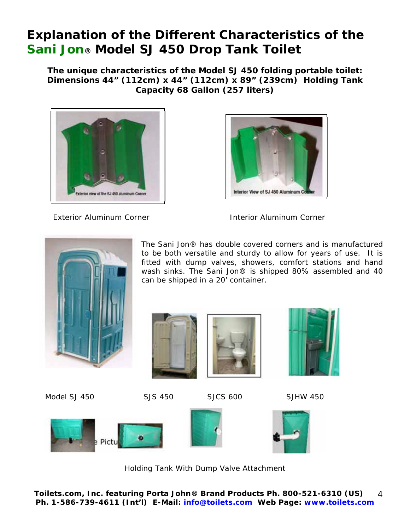## **Explanation of the Different Characteristics of the Sani Jon® Model SJ 450 Drop Tank Toilet**

**The unique characteristics of the Model SJ 450 folding portable toilet: Dimensions 44" (112cm) x 44" (112cm) x 89" (239cm) Holding Tank Capacity 68 Gallon (257 liters)** 





Exterior Aluminum Corner **Interior Aluminum Corner** 

The Sani Jon® has double covered corners and is manufactured to be both versatile and sturdy to allow for years of use. It is fitted with dump valves, showers, comfort stations and hand wash sinks. The Sani Jon® is shipped 80% assembled and 40



Model SJ 450 SJS 450 SJCS 600 SJHW 450

**Dump Pictures** 





can be shipped in a 20' container.







Holding Tank With Dump Valve Attachment

**Toilets.com, Inc.** *featuring* **Porta John® Brand Products Ph. 800-521-6310 (US) Ph. 1-586-739-4611 (Int'l) E-Mail: info@toilets.com Web Page: www.toilets.com** 4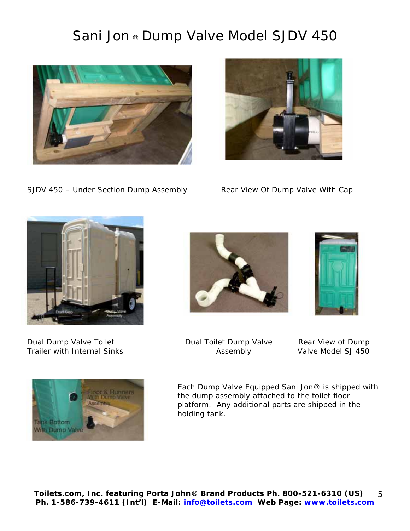## Sani Jon ® Dump Valve Model SJDV 450



SJDV 450 – Under Section Dump Assembly Rear View Of Dump Valve With Cap





Dual Dump Valve Toilet **Dual Toilet Dump Valve** Rear View of Dump Trailer with Internal Sinks **Assembly** Assembly Valve Model SJ 450







Each Dump Valve Equipped Sani Jon® is shipped with the dump assembly attached to the toilet floor platform. Any additional parts are shipped in the holding tank.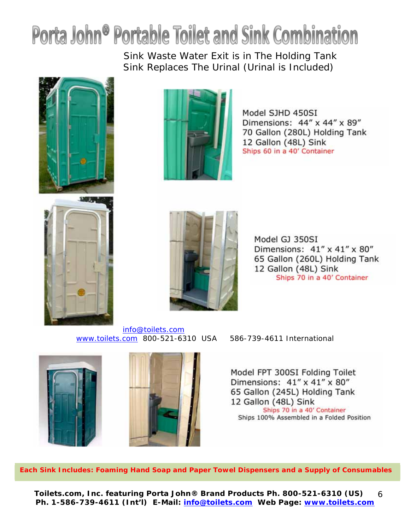# Porta John<sup>®</sup> Portable Toilet and Sink Combination

Sink Waste Water Exit is in The Holding Tank Sink Replaces The Urinal (Urinal is Included)







Model SJHD 450SI Dimensions: 44" x 44" x 89" 70 Gallon (280L) Holding Tank 12 Gallon (48L) Sink Ships 60 in a 40' Container



Model GJ 350SI Dimensions: 41" x 41" x 80" 65 Gallon (260L) Holding Tank 12 Gallon (48L) Sink Ships 70 in a 40' Container

info@toilets.com www.toilets.com 800-521-6310 USA 586-739-4611 International





**Each Sink Includes: Foaming Hand Soap and Paper Towel Dispensers and a Supply of Consumables** 

**Toilets.com, Inc.** *featuring* **Porta John® Brand Products Ph. 800-521-6310 (US) Ph. 1-586-739-4611 (Int'l) E-Mail: info@toilets.com Web Page: www.toilets.com** 6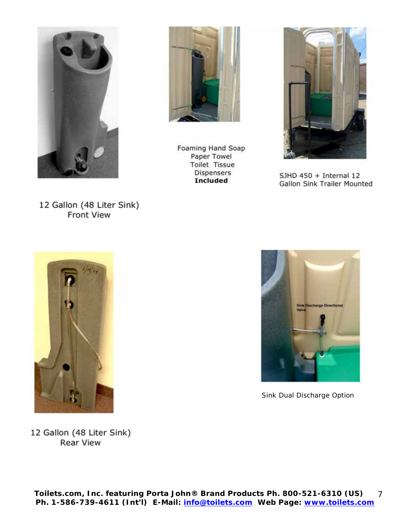

12 Gallon (48 Liter Sink) Front View

Foaming Hand Soap Paper Towel Toilet Tissue Dispensers **Included** 



SJHD 450 + Internal 12 Gallon Sink Trailer Mounted



Sink Dual Discharge Option

12 Gallon (48 Liter Sink) Rear View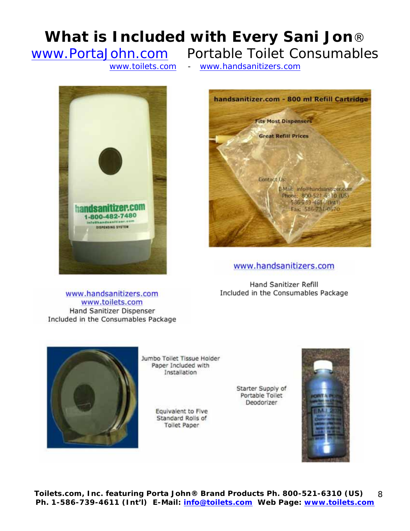## **What is Included with Every Sani Jon**®

www.PortaJohn.com Portable Toilet Consumables

www.toilets.com - www.handsanitizers.com





www.handsanitizers.com

Hand Sanitizer Refill Included in the Consumables Package

www.handsanitizers.com www.toilets.com Hand Sanitizer Dispenser Included in the Consumables Package



Jumbo Toilet Tissue Holder Paper Included with Installation

> Equivalent to Five Standard Rolls of **Toilet Paper**

Starter Supply of Portable Toilet Deodorizer



**Toilets.com, Inc.** *featuring* **Porta John® Brand Products Ph. 800-521-6310 (US) Ph. 1-586-739-4611 (Int'l) E-Mail: info@toilets.com Web Page: www.toilets.com** 8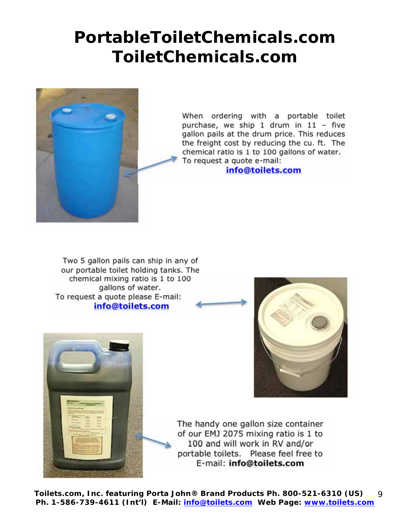# **PortableToiletChemicals.com ToiletChemicals.com**



When ordering with a portable toilet purchase, we ship 1 drum in 11 – five gallon pails at the drum price. This reduces the freight cost by reducing the cu. ft. The chemical ratio is 1 to 100 gallons of water. To request a quote e-mail:

**info@toilets.com**

Two 5 gallon pails can ship in any of our portable toilet holding tanks. The chemical mixing ratio is 1 to 100 gallons of water. To request a quote please E-mail: **info@toilets.com**





The handy one gallon size container of our EMJ 2075 mixing ratio is 1 to 100 and will work in RV and/or portable toilets. Please feel free to E-mail: **info@toilets.com** 

**Toilets.com, Inc.** *featuring* **Porta John® Brand Products Ph. 800-521-6310 (US) Ph. 1-586-739-4611 (Int'l) E-Mail: info@toilets.com Web Page: www.toilets.com**  $\mathsf{Q}$